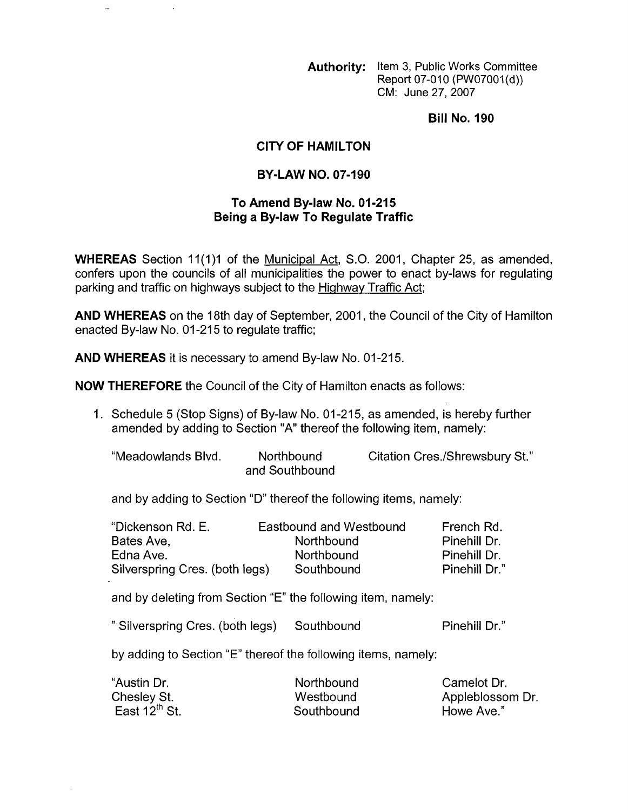**Authority:** Item 3, Public Works Committee Report 07-010 (PW07001(d)) CM: June 27,2007

**Bill No. 190** 

## **CITY OF HAMILTON**

## **BY-LAW NO. 07-190**

## **To Amend By-law No. 01-215 Being a By-law To Regulate Traffic**

**WHEREAS** Section 11(1)1 of the Municipal Act, S.O. 2001, Chapter 25, as amended, confers upon the councils of all municipalities the power to enact by-laws for regulating parking and traffic on highways subject to the Highway Traffic Act;

**AND WHEREAS** on the 18th day of September, 2001, the Council of the City of Hamilton enacted By-law No. 01-215 to regulate traffic;

**AND WHEREAS** it is necessary to amend By-law No. 01-215.

**NOW THEREFORE** the Council of the City of Hamilton enacts as follows:

1. Schedule 5 (Stop Signs) of By-law No. 01-215, as amended, is hereby further amended by adding to Section "A" thereof the following item, namely:

"Meadowlands Blvd. Northbound Citation Cres./Shrewsbury St." and Southbound

and by adding to Section "D" thereof the following items, namely:

| "Dickenson Rd. E.              | Eastbound and Westbound | French Rd.    |
|--------------------------------|-------------------------|---------------|
| Bates Ave,                     | <b>Northbound</b>       | Pinehill Dr.  |
| Edna Ave.                      | Northbound              | Pinehill Dr.  |
| Silverspring Cres. (both legs) | Southbound              | Pinehill Dr." |

and by deleting from Section "E" the following item, namely:

" Silverspring Cres. (both legs) Southbound Pinehill Dr."

by adding to Section "E" thereof the following items, namely:

| "Austin Dr.        | Northbound | Camelot Dr.      |
|--------------------|------------|------------------|
| Chesley St.        | Westbound  | Appleblossom Dr. |
| East $12^{th}$ St. | Southbound | Howe Ave."       |